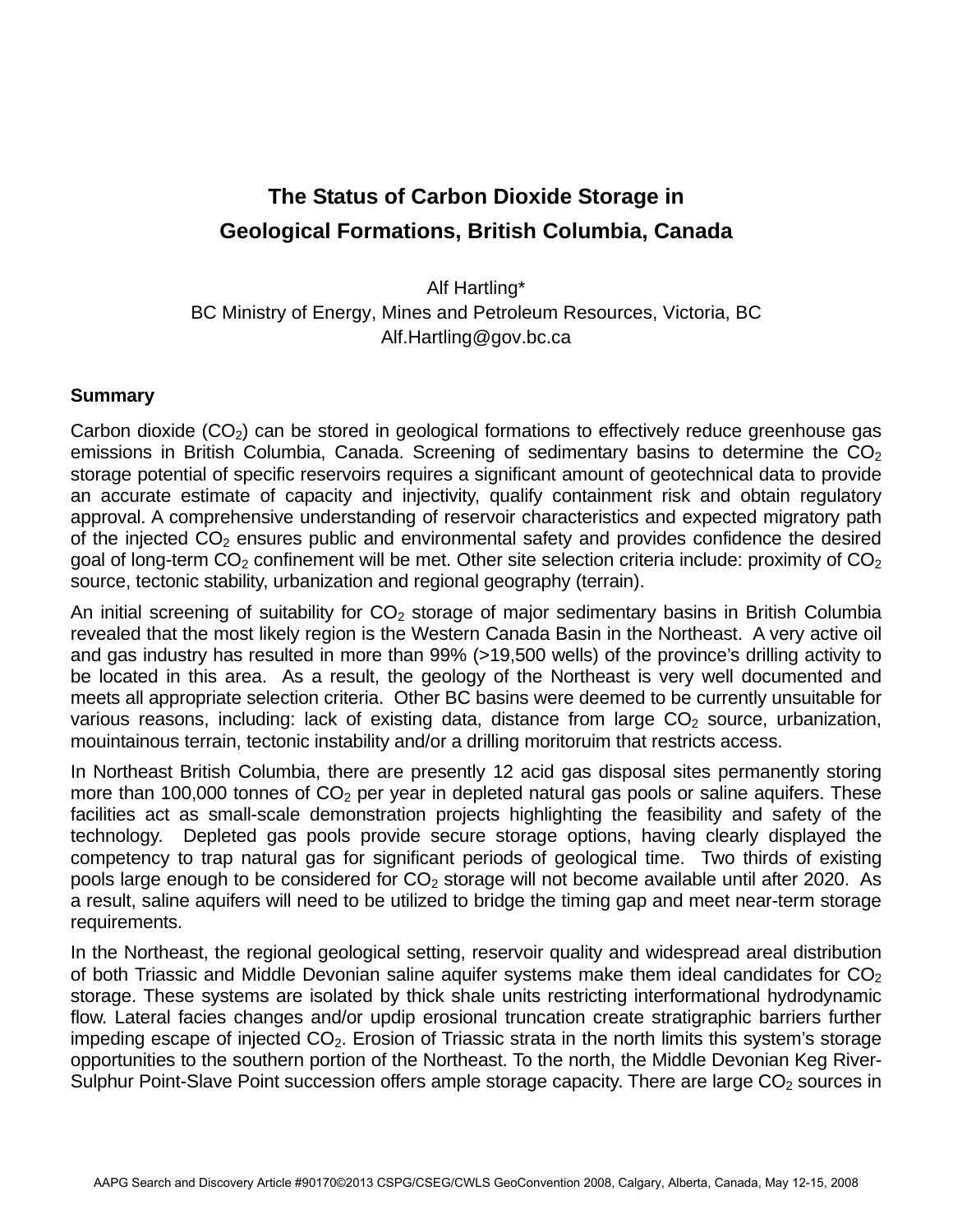## **The Status of Carbon Dioxide Storage in Geological Formations, British Columbia, Canada**

Alf Hartling\* BC Ministry of Energy, Mines and Petroleum Resources, Victoria, BC Alf.Hartling@gov.bc.ca

## **Summary**

Carbon dioxide  $(CO<sub>2</sub>)$  can be stored in geological formations to effectively reduce greenhouse gas emissions in British Columbia, Canada. Screening of sedimentary basins to determine the  $CO<sub>2</sub>$ storage potential of specific reservoirs requires a significant amount of geotechnical data to provide an accurate estimate of capacity and injectivity, qualify containment risk and obtain regulatory approval. A comprehensive understanding of reservoir characteristics and expected migratory path of the injected  $CO<sub>2</sub>$  ensures public and environmental safety and provides confidence the desired goal of long-term  $CO<sub>2</sub>$  confinement will be met. Other site selection criteria include: proximity of  $CO<sub>2</sub>$ source, tectonic stability, urbanization and regional geography (terrain).

An initial screening of suitability for  $CO<sub>2</sub>$  storage of major sedimentary basins in British Columbia revealed that the most likely region is the Western Canada Basin in the Northeast. A very active oil and gas industry has resulted in more than 99% (>19,500 wells) of the province's drilling activity to be located in this area. As a result, the geology of the Northeast is very well documented and meets all appropriate selection criteria. Other BC basins were deemed to be currently unsuitable for various reasons, including: lack of existing data, distance from large  $CO<sub>2</sub>$  source, urbanization, mouintainous terrain, tectonic instability and/or a drilling moritoruim that restricts access.

In Northeast British Columbia, there are presently 12 acid gas disposal sites permanently storing more than 100,000 tonnes of  $CO<sub>2</sub>$  per year in depleted natural gas pools or saline aquifers. These facilities act as small-scale demonstration projects highlighting the feasibility and safety of the technology. Depleted gas pools provide secure storage options, having clearly displayed the competency to trap natural gas for significant periods of geological time. Two thirds of existing pools large enough to be considered for  $CO<sub>2</sub>$  storage will not become available until after 2020. As a result, saline aquifers will need to be utilized to bridge the timing gap and meet near-term storage requirements.

In the Northeast, the regional geological setting, reservoir quality and widespread areal distribution of both Triassic and Middle Devonian saline aquifer systems make them ideal candidates for  $CO<sub>2</sub>$ storage. These systems are isolated by thick shale units restricting interformational hydrodynamic flow. Lateral facies changes and/or updip erosional truncation create stratigraphic barriers further impeding escape of injected  $CO<sub>2</sub>$ . Erosion of Triassic strata in the north limits this system's storage opportunities to the southern portion of the Northeast. To the north, the Middle Devonian Keg River-Sulphur Point-Slave Point succession offers ample storage capacity. There are large  $CO<sub>2</sub>$  sources in